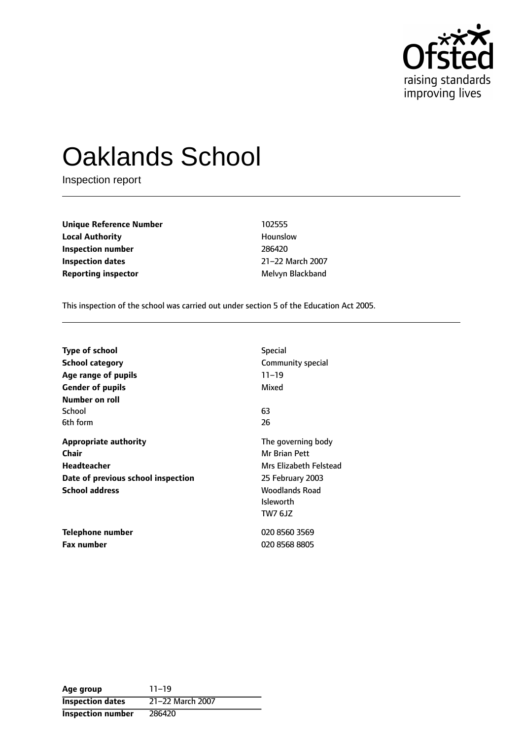

# Oaklands School

Inspection report

**Unique Reference Number** 102555 **Local Authority Hounslow Inspection number** 286420 **Inspection dates** 21-22 March 2007 **Reporting inspector** Melvyn Blackband

This inspection of the school was carried out under section 5 of the Education Act 2005.

| Type of school                     | <b>Special</b>         |
|------------------------------------|------------------------|
| <b>School category</b>             | Community special      |
| Age range of pupils                | $11 - 19$              |
| <b>Gender of pupils</b>            | Mixed                  |
| Number on roll                     |                        |
| School                             | 63                     |
| 6th form                           | 26                     |
| <b>Appropriate authority</b>       | The governing body     |
| Chair                              | Mr Brian Pett          |
| <b>Headteacher</b>                 | Mrs Elizabeth Felstead |
| Date of previous school inspection | 25 February 2003       |
| <b>School address</b>              | Woodlands Road         |
|                                    | <b>Isleworth</b>       |
|                                    | <b>TW7 6JZ</b>         |
| Telephone number                   | 020 8560 3569          |
| <b>Fax number</b>                  | 020 8568 8805          |

| Age group                | $11 - 19$        |
|--------------------------|------------------|
| <b>Inspection dates</b>  | 21-22 March 2007 |
| <b>Inspection number</b> | 286420           |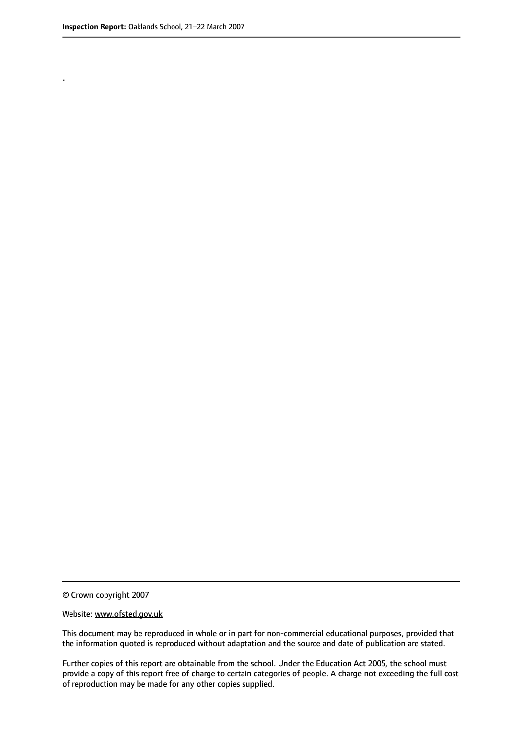.

This document may be reproduced in whole or in part for non-commercial educational purposes, provided that the information quoted is reproduced without adaptation and the source and date of publication are stated.

Further copies of this report are obtainable from the school. Under the Education Act 2005, the school must provide a copy of this report free of charge to certain categories of people. A charge not exceeding the full cost of reproduction may be made for any other copies supplied.

<sup>©</sup> Crown copyright 2007

Website: www.ofsted.gov.uk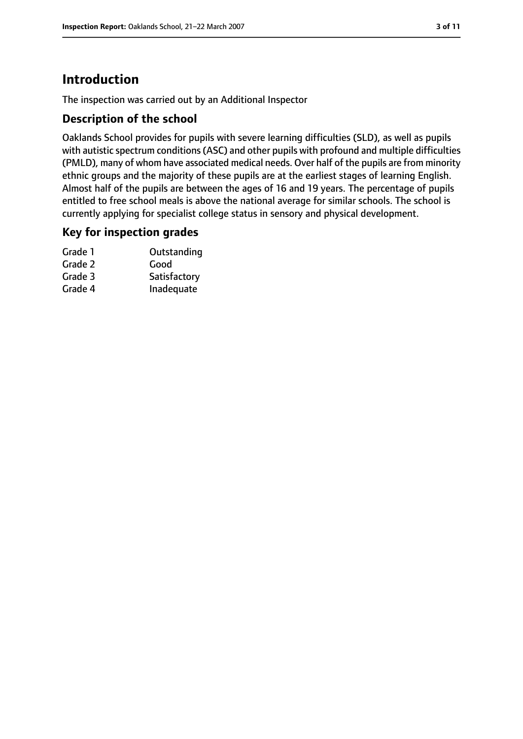## **Introduction**

The inspection was carried out by an Additional Inspector

#### **Description of the school**

Oaklands School provides for pupils with severe learning difficulties (SLD), as well as pupils with autistic spectrum conditions(ASC) and other pupils with profound and multiple difficulties (PMLD), many of whom have associated medical needs. Over half of the pupils are from minority ethnic groups and the majority of these pupils are at the earliest stages of learning English. Almost half of the pupils are between the ages of 16 and 19 years. The percentage of pupils entitled to free school meals is above the national average for similar schools. The school is currently applying for specialist college status in sensory and physical development.

#### **Key for inspection grades**

| Outstanding  |
|--------------|
| Good         |
| Satisfactory |
| Inadequate   |
|              |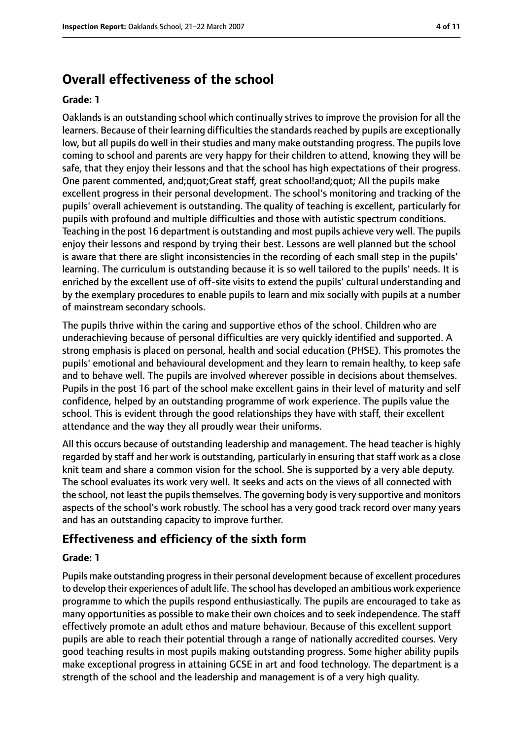### **Overall effectiveness of the school**

#### **Grade: 1**

Oaklands is an outstanding school which continually strives to improve the provision for all the learners. Because of their learning difficulties the standards reached by pupils are exceptionally low, but all pupils do well in their studies and many make outstanding progress. The pupils love coming to school and parents are very happy for their children to attend, knowing they will be safe, that they enjoy their lessons and that the school has high expectations of their progress. One parent commented, and;quot;Great staff, great school!and;quot; All the pupils make excellent progress in their personal development. The school's monitoring and tracking of the pupils' overall achievement is outstanding. The quality of teaching is excellent, particularly for pupils with profound and multiple difficulties and those with autistic spectrum conditions. Teaching in the post 16 department is outstanding and most pupils achieve very well. The pupils enjoy their lessons and respond by trying their best. Lessons are well planned but the school is aware that there are slight inconsistencies in the recording of each small step in the pupils' learning. The curriculum is outstanding because it is so well tailored to the pupils' needs. It is enriched by the excellent use of off-site visits to extend the pupils' cultural understanding and by the exemplary procedures to enable pupils to learn and mix socially with pupils at a number of mainstream secondary schools.

The pupils thrive within the caring and supportive ethos of the school. Children who are underachieving because of personal difficulties are very quickly identified and supported. A strong emphasis is placed on personal, health and social education (PHSE). This promotes the pupils' emotional and behavioural development and they learn to remain healthy, to keep safe and to behave well. The pupils are involved wherever possible in decisions about themselves. Pupils in the post 16 part of the school make excellent gains in their level of maturity and self confidence, helped by an outstanding programme of work experience. The pupils value the school. This is evident through the good relationships they have with staff, their excellent attendance and the way they all proudly wear their uniforms.

All this occurs because of outstanding leadership and management. The head teacher is highly regarded by staff and her work is outstanding, particularly in ensuring that staff work as a close knit team and share a common vision for the school. She is supported by a very able deputy. The school evaluates its work very well. It seeks and acts on the views of all connected with the school, not least the pupils themselves. The governing body is very supportive and monitors aspects of the school's work robustly. The school has a very good track record over many years and has an outstanding capacity to improve further.

#### **Effectiveness and efficiency of the sixth form**

#### **Grade: 1**

Pupils make outstanding progressin their personal development because of excellent procedures to develop their experiences of adult life. The school has developed an ambitious work experience programme to which the pupils respond enthusiastically. The pupils are encouraged to take as many opportunities as possible to make their own choices and to seek independence. The staff effectively promote an adult ethos and mature behaviour. Because of this excellent support pupils are able to reach their potential through a range of nationally accredited courses. Very good teaching results in most pupils making outstanding progress. Some higher ability pupils make exceptional progress in attaining GCSE in art and food technology. The department is a strength of the school and the leadership and management is of a very high quality.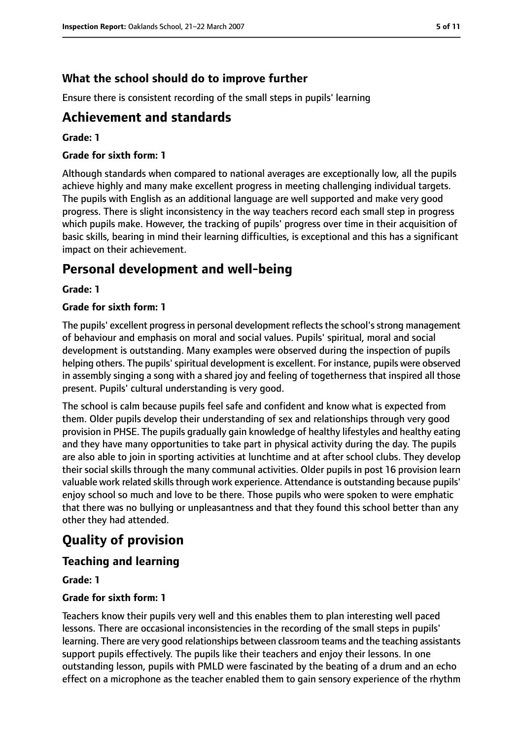### **What the school should do to improve further**

Ensure there is consistent recording of the small steps in pupils' learning

### **Achievement and standards**

#### **Grade: 1**

#### **Grade for sixth form: 1**

Although standards when compared to national averages are exceptionally low, all the pupils achieve highly and many make excellent progress in meeting challenging individual targets. The pupils with English as an additional language are well supported and make very good progress. There is slight inconsistency in the way teachers record each small step in progress which pupils make. However, the tracking of pupils' progress over time in their acquisition of basic skills, bearing in mind their learning difficulties, is exceptional and this has a significant impact on their achievement.

### **Personal development and well-being**

#### **Grade: 1**

#### **Grade for sixth form: 1**

The pupils' excellent progress in personal development reflects the school's strong management of behaviour and emphasis on moral and social values. Pupils' spiritual, moral and social development is outstanding. Many examples were observed during the inspection of pupils helping others. The pupils' spiritual development is excellent. For instance, pupils were observed in assembly singing a song with a shared joy and feeling of togetherness that inspired all those present. Pupils' cultural understanding is very good.

The school is calm because pupils feel safe and confident and know what is expected from them. Older pupils develop their understanding of sex and relationships through very good provision in PHSE. The pupils gradually gain knowledge of healthy lifestyles and healthy eating and they have many opportunities to take part in physical activity during the day. The pupils are also able to join in sporting activities at lunchtime and at after school clubs. They develop their social skills through the many communal activities. Older pupils in post 16 provision learn valuable work related skills through work experience. Attendance is outstanding because pupils' enjoy school so much and love to be there. Those pupils who were spoken to were emphatic that there was no bullying or unpleasantness and that they found this school better than any other they had attended.

### **Quality of provision**

### **Teaching and learning**

#### **Grade: 1**

#### **Grade for sixth form: 1**

Teachers know their pupils very well and this enables them to plan interesting well paced lessons. There are occasional inconsistencies in the recording of the small steps in pupils' learning. There are very good relationships between classroom teams and the teaching assistants support pupils effectively. The pupils like their teachers and enjoy their lessons. In one outstanding lesson, pupils with PMLD were fascinated by the beating of a drum and an echo effect on a microphone as the teacher enabled them to gain sensory experience of the rhythm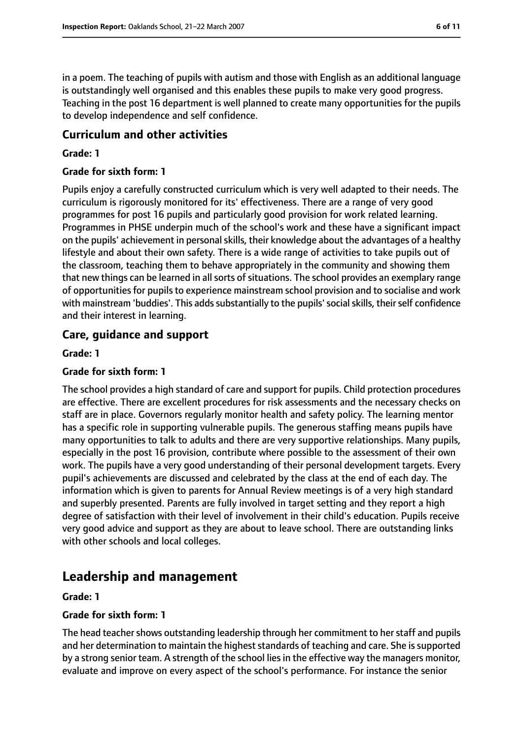in a poem. The teaching of pupils with autism and those with English as an additional language is outstandingly well organised and this enables these pupils to make very good progress. Teaching in the post 16 department is well planned to create many opportunities for the pupils to develop independence and self confidence.

#### **Curriculum and other activities**

#### **Grade: 1**

#### **Grade for sixth form: 1**

Pupils enjoy a carefully constructed curriculum which is very well adapted to their needs. The curriculum is rigorously monitored for its' effectiveness. There are a range of very good programmes for post 16 pupils and particularly good provision for work related learning. Programmes in PHSE underpin much of the school's work and these have a significant impact on the pupils' achievement in personal skills, their knowledge about the advantages of a healthy lifestyle and about their own safety. There is a wide range of activities to take pupils out of the classroom, teaching them to behave appropriately in the community and showing them that new things can be learned in all sorts of situations. The school provides an exemplary range of opportunities for pupils to experience mainstream school provision and to socialise and work with mainstream 'buddies'. This adds substantially to the pupils' social skills, their self confidence and their interest in learning.

#### **Care, guidance and support**

#### **Grade: 1**

#### **Grade for sixth form: 1**

The school provides a high standard of care and support for pupils. Child protection procedures are effective. There are excellent procedures for risk assessments and the necessary checks on staff are in place. Governors regularly monitor health and safety policy. The learning mentor has a specific role in supporting vulnerable pupils. The generous staffing means pupils have many opportunities to talk to adults and there are very supportive relationships. Many pupils, especially in the post 16 provision, contribute where possible to the assessment of their own work. The pupils have a very good understanding of their personal development targets. Every pupil's achievements are discussed and celebrated by the class at the end of each day. The information which is given to parents for Annual Review meetings is of a very high standard and superbly presented. Parents are fully involved in target setting and they report a high degree of satisfaction with their level of involvement in their child's education. Pupils receive very good advice and support as they are about to leave school. There are outstanding links with other schools and local colleges.

### **Leadership and management**

#### **Grade: 1**

#### **Grade for sixth form: 1**

The head teacher shows outstanding leadership through her commitment to her staff and pupils and her determination to maintain the highest standards of teaching and care. She is supported by a strong senior team. A strength of the school lies in the effective way the managers monitor, evaluate and improve on every aspect of the school's performance. For instance the senior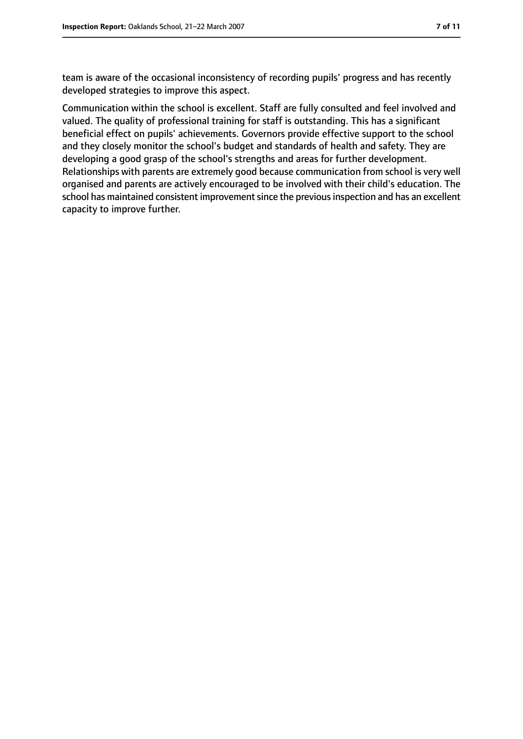team is aware of the occasional inconsistency of recording pupils' progress and has recently developed strategies to improve this aspect.

Communication within the school is excellent. Staff are fully consulted and feel involved and valued. The quality of professional training for staff is outstanding. This has a significant beneficial effect on pupils' achievements. Governors provide effective support to the school and they closely monitor the school's budget and standards of health and safety. They are developing a good grasp of the school's strengths and areas for further development. Relationships with parents are extremely good because communication from school is very well organised and parents are actively encouraged to be involved with their child's education. The school has maintained consistent improvement since the previous inspection and has an excellent capacity to improve further.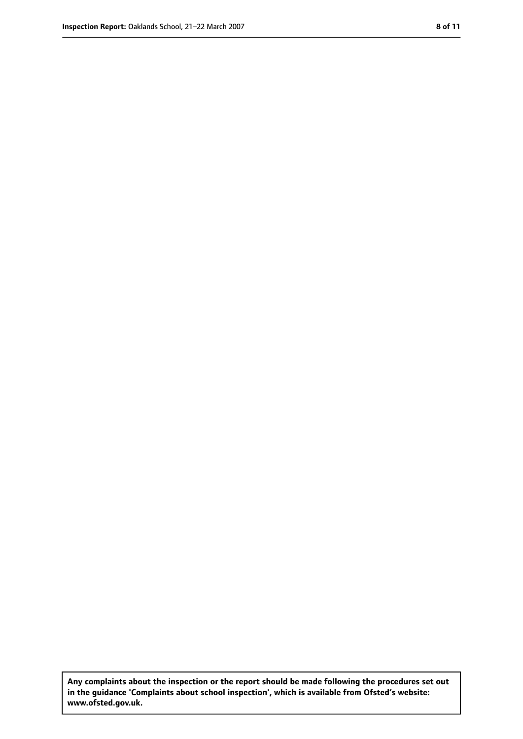**Any complaints about the inspection or the report should be made following the procedures set out in the guidance 'Complaints about school inspection', which is available from Ofsted's website: www.ofsted.gov.uk.**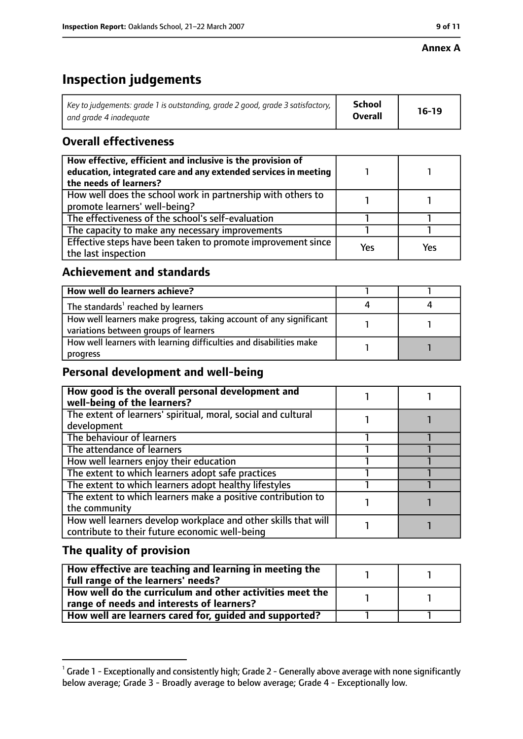#### **Annex A**

### **Inspection judgements**

| Key to judgements: grade 1 is outstanding, grade 2 good, grade 3 satisfactory, $\vert$ | School         | $16-19$ |
|----------------------------------------------------------------------------------------|----------------|---------|
| and arade 4 inadeauate                                                                 | <b>Overall</b> |         |

### **Overall effectiveness**

| How effective, efficient and inclusive is the provision of<br>education, integrated care and any extended services in meeting<br>the needs of learners? |     |     |
|---------------------------------------------------------------------------------------------------------------------------------------------------------|-----|-----|
| How well does the school work in partnership with others to<br>promote learners' well-being?                                                            |     |     |
| The effectiveness of the school's self-evaluation                                                                                                       |     |     |
| The capacity to make any necessary improvements                                                                                                         |     |     |
| Effective steps have been taken to promote improvement since<br>the last inspection                                                                     | Yes | Yes |

### **Achievement and standards**

| How well do learners achieve?                                                                               |  |
|-------------------------------------------------------------------------------------------------------------|--|
| The standards <sup>1</sup> reached by learners                                                              |  |
| How well learners make progress, taking account of any significant<br>variations between groups of learners |  |
| How well learners with learning difficulties and disabilities make<br>progress                              |  |

### **Personal development and well-being**

| How good is the overall personal development and<br>well-being of the learners?                                  |  |
|------------------------------------------------------------------------------------------------------------------|--|
| The extent of learners' spiritual, moral, social and cultural<br>development                                     |  |
| The behaviour of learners                                                                                        |  |
| The attendance of learners                                                                                       |  |
| How well learners enjoy their education                                                                          |  |
| The extent to which learners adopt safe practices                                                                |  |
| The extent to which learners adopt healthy lifestyles                                                            |  |
| The extent to which learners make a positive contribution to<br>the community                                    |  |
| How well learners develop workplace and other skills that will<br>contribute to their future economic well-being |  |

### **The quality of provision**

| How effective are teaching and learning in meeting the<br>full range of the learners' needs? |  |
|----------------------------------------------------------------------------------------------|--|
| How well do the curriculum and other activities meet the                                     |  |
| range of needs and interests of learners?                                                    |  |
| How well are learners cared for, guided and supported?                                       |  |

 $^1$  Grade 1 - Exceptionally and consistently high; Grade 2 - Generally above average with none significantly below average; Grade 3 - Broadly average to below average; Grade 4 - Exceptionally low.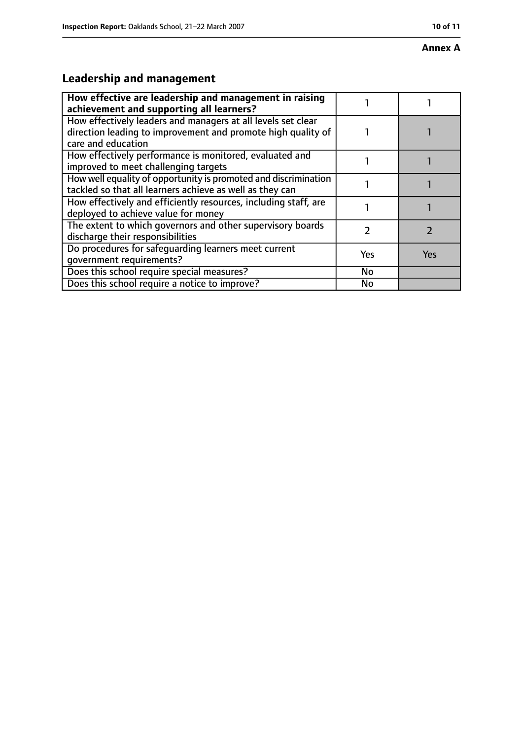#### **Annex A**

## **Leadership and management**

| How effective are leadership and management in raising<br>achievement and supporting all learners?                                                 |           |     |
|----------------------------------------------------------------------------------------------------------------------------------------------------|-----------|-----|
| How effectively leaders and managers at all levels set clear<br>direction leading to improvement and promote high quality of<br>care and education |           |     |
| How effectively performance is monitored, evaluated and<br>improved to meet challenging targets                                                    |           |     |
| How well equality of opportunity is promoted and discrimination<br>tackled so that all learners achieve as well as they can                        |           |     |
| How effectively and efficiently resources, including staff, are<br>deployed to achieve value for money                                             |           |     |
| The extent to which governors and other supervisory boards<br>discharge their responsibilities                                                     |           |     |
| Do procedures for safequarding learners meet current<br>qovernment requirements?                                                                   | Yes       | Yes |
| Does this school require special measures?                                                                                                         | <b>No</b> |     |
| Does this school require a notice to improve?                                                                                                      | No        |     |